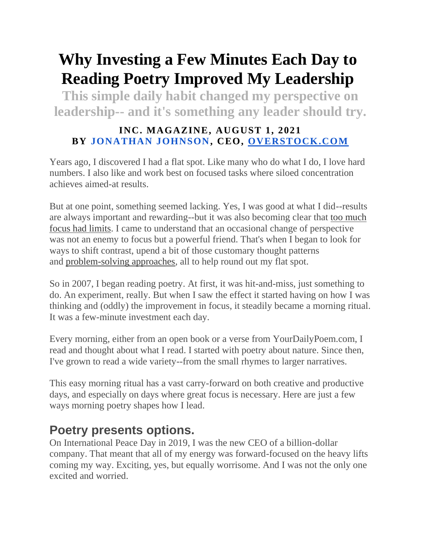# **Why Investing a Few Minutes Each Day to Reading Poetry Improved My Leadership**

**This simple daily habit changed my perspective on leadership-- and it's something any leader should try.**

#### **INC. MAGAZINE, AUGUST 1, 2021 BY [JONATHAN JOHNSON,](https://www.inc.com/author/Jonathan-Johnson) CEO, [OVERSTOCK.COM](http://overstock.com/)**

Years ago, I discovered I had a flat spot. Like many who do what I do, I love hard numbers. I also like and work best on focused tasks where siloed concentration achieves aimed-at results.

But at one point, something seemed lacking. Yes, I was good at what I did--results are always important and rewarding--but it was also becoming clear that [too much](https://www.inc.com/marla-tabaka/all-work-no-play-you-may-need-to-change-your-perspective-on-time-management.html)  [focus had limits.](https://www.inc.com/marla-tabaka/all-work-no-play-you-may-need-to-change-your-perspective-on-time-management.html) I came to understand that an occasional change of perspective was not an enemy to focus but a powerful friend. That's when I began to look for ways to shift contrast, upend a bit of those customary thought patterns and [problem-solving approaches,](https://www.inc.com/jessica-stillman/new-study-you-probably-completely-ignore-this-brilliant-problem-solving-strategy.html) all to help round out my flat spot.

So in 2007, I began reading poetry. At first, it was hit-and-miss, just something to do. An experiment, really. But when I saw the effect it started having on how I was thinking and (oddly) the improvement in focus, it steadily became a morning ritual. It was a few-minute investment each day.

Every morning, either from an open book or a verse from YourDailyPoem.com, I read and thought about what I read. I started with poetry about nature. Since then, I've grown to read a wide variety--from the small rhymes to larger narratives.

This easy morning ritual has a vast carry-forward on both creative and productive days, and especially on days where great focus is necessary. Here are just a few ways morning poetry shapes how I lead.

#### **Poetry presents options.**

On International Peace Day in 2019, I was the new CEO of a billion-dollar company. That meant that all of my energy was forward-focused on the heavy lifts coming my way. Exciting, yes, but equally worrisome. And I was not the only one excited and worried.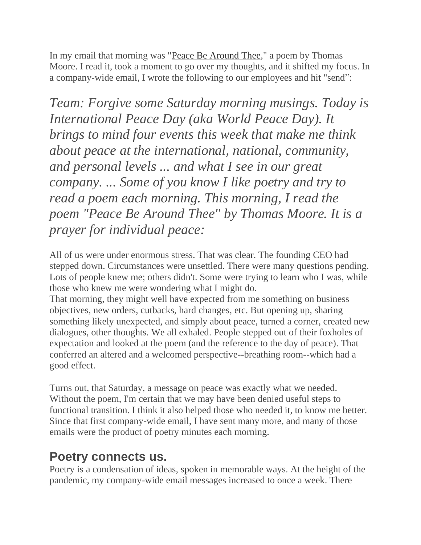In my email that morning was ["Peace Be Around Thee,](http://www.yourdailypoem.com/listpoem.jsp?poem_id=3123)" a poem by Thomas Moore. I read it, took a moment to go over my thoughts, and it shifted my focus. In a company-wide email, I wrote the following to our employees and hit "send":

*Team: Forgive some Saturday morning musings. Today is International Peace Day (aka World Peace Day). It brings to mind four events this week that make me think about peace at the international, national, community, and personal levels ... and what I see in our great company. ... Some of you know I like poetry and try to read a poem each morning. This morning, I read the poem "Peace Be Around Thee" by Thomas Moore. It is a prayer for individual peace:*

All of us were under enormous stress. That was clear. The founding CEO had stepped down. Circumstances were unsettled. There were many questions pending. Lots of people knew me; others didn't. Some were trying to learn who I was, while those who knew me were wondering what I might do.

That morning, they might well have expected from me something on business objectives, new orders, cutbacks, hard changes, etc. But opening up, sharing something likely unexpected, and simply about peace, turned a corner, created new dialogues, other thoughts. We all exhaled. People stepped out of their foxholes of expectation and looked at the poem (and the reference to the day of peace). That conferred an altered and a welcomed perspective--breathing room--which had a good effect.

Turns out, that Saturday, a message on peace was exactly what we needed. Without the poem, I'm certain that we may have been denied useful steps to functional transition. I think it also helped those who needed it, to know me better. Since that first company-wide email, I have sent many more, and many of those emails were the product of poetry minutes each morning.

## **Poetry connects us.**

Poetry is a condensation of ideas, spoken in memorable ways. At the height of the pandemic, my company-wide email messages increased to once a week. There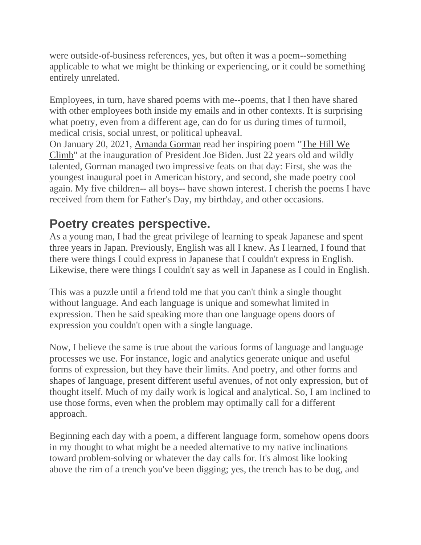were outside-of-business references, yes, but often it was a poem--something applicable to what we might be thinking or experiencing, or it could be something entirely unrelated.

Employees, in turn, have shared poems with me--poems, that I then have shared with other employees both inside my emails and in other contexts. It is surprising what poetry, even from a different age, can do for us during times of turmoil, medical crisis, social unrest, or political upheaval.

On January 20, 2021, [Amanda Gorman](https://www.inc.com/jessica-stillman/amanda-gorman-michelle-obama-super-bowl-optimism.html) read her inspiring poem ["The Hill We](https://www.youtube.com/watch?v=Wz4YuEvJ3y4)  [Climb"](https://www.youtube.com/watch?v=Wz4YuEvJ3y4) at the inauguration of President Joe Biden. Just 22 years old and wildly talented, Gorman managed two impressive feats on that day: First, she was the youngest inaugural poet in American history, and second, she made poetry cool again. My five children-- all boys-- have shown interest. I cherish the poems I have received from them for Father's Day, my birthday, and other occasions.

## **Poetry creates perspective.**

As a young man, I had the great privilege of learning to speak Japanese and spent three years in Japan. Previously, English was all I knew. As I learned, I found that there were things I could express in Japanese that I couldn't express in English. Likewise, there were things I couldn't say as well in Japanese as I could in English.

This was a puzzle until a friend told me that you can't think a single thought without language. And each language is unique and somewhat limited in expression. Then he said speaking more than one language opens doors of expression you couldn't open with a single language.

Now, I believe the same is true about the various forms of language and language processes we use. For instance, logic and analytics generate unique and useful forms of expression, but they have their limits. And poetry, and other forms and shapes of language, present different useful avenues, of not only expression, but of thought itself. Much of my daily work is logical and analytical. So, I am inclined to use those forms, even when the problem may optimally call for a different approach.

Beginning each day with a poem, a different language form, somehow opens doors in my thought to what might be a needed alternative to my native inclinations toward problem-solving or whatever the day calls for. It's almost like looking above the rim of a trench you've been digging; yes, the trench has to be dug, and